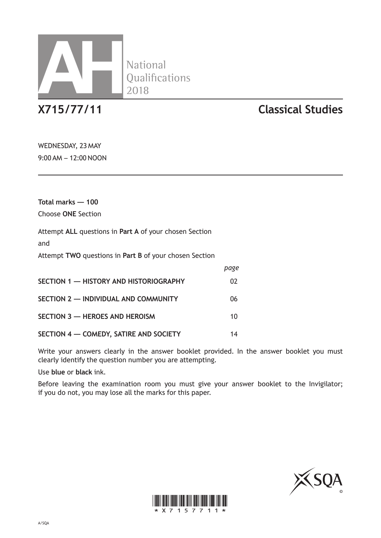

**National** 

## **X715/77/11 Classical Studies**

WEDNESDAY, 23 MAY 9:00 AM – 12:00 NOON

**Total marks — 100** Choose **ONE** Section

Attempt **ALL** questions in **Part A** of your chosen Section

and

Attempt **TWO** questions in **Part B** of your chosen Section

|                                        | page |
|----------------------------------------|------|
| SECTION 1 - HISTORY AND HISTORIOGRAPHY | 02   |
| SECTION 2 - INDIVIDUAL AND COMMUNITY   | 06   |
| SECTION 3 - HEROES AND HEROISM         | 10   |
| SECTION 4 - COMEDY, SATIRE AND SOCIETY | 14   |

Write your answers clearly in the answer booklet provided. In the answer booklet you must clearly identify the question number you are attempting.

Use **blue** or **black** ink.

Before leaving the examination room you must give your answer booklet to the Invigilator; if you do not, you may lose all the marks for this paper.



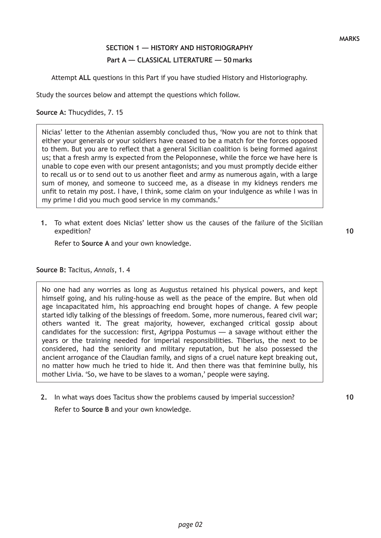## **SECTION 1 — HISTORY AND HISTORIOGRAPHY Part A — CLASSICAL LITERATURE — 50 marks**

Attempt **ALL** questions in this Part if you have studied History and Historiography.

Study the sources below and attempt the questions which follow.

**Source A:** Thucydides, 7. 15

Nicias' letter to the Athenian assembly concluded thus, 'Now you are not to think that either your generals or your soldiers have ceased to be a match for the forces opposed to them. But you are to reflect that a general Sicilian coalition is being formed against us; that a fresh army is expected from the Peloponnese, while the force we have here is unable to cope even with our present antagonists; and you must promptly decide either to recall us or to send out to us another fleet and army as numerous again, with a large sum of money, and someone to succeed me, as a disease in my kidneys renders me unfit to retain my post. I have, I think, some claim on your indulgence as while I was in my prime I did you much good service in my commands.'

**1.** To what extent does Nicias' letter show us the causes of the failure of the Sicilian expedition?

Refer to **Source A** and your own knowledge.

**Source B:** Tacitus, *Annals*, 1. 4

No one had any worries as long as Augustus retained his physical powers, and kept himself going, and his ruling-house as well as the peace of the empire. But when old age incapacitated him, his approaching end brought hopes of change. A few people started idly talking of the blessings of freedom. Some, more numerous, feared civil war; others wanted it. The great majority, however, exchanged critical gossip about candidates for the succession: first, Agrippa Postumus — a savage without either the years or the training needed for imperial responsibilities. Tiberius, the next to be considered, had the seniority and military reputation, but he also possessed the ancient arrogance of the Claudian family, and signs of a cruel nature kept breaking out, no matter how much he tried to hide it. And then there was that feminine bully, his mother Livia. 'So, we have to be slaves to a woman,' people were saying.

**2.** In what ways does Tacitus show the problems caused by imperial succession?

Refer to **Source B** and your own knowledge.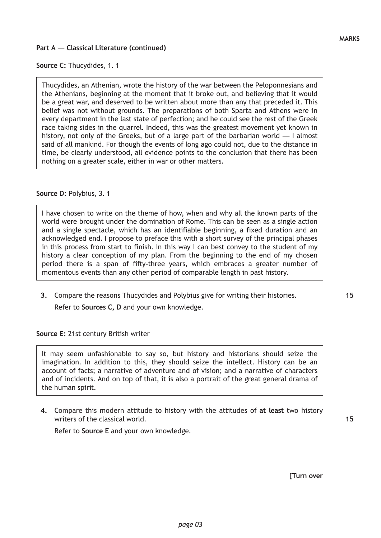#### **Source C:** Thucydides, 1. 1

Thucydides, an Athenian, wrote the history of the war between the Peloponnesians and the Athenians, beginning at the moment that it broke out, and believing that it would be a great war, and deserved to be written about more than any that preceded it. This belief was not without grounds. The preparations of both Sparta and Athens were in every department in the last state of perfection; and he could see the rest of the Greek race taking sides in the quarrel. Indeed, this was the greatest movement yet known in history, not only of the Greeks, but of a large part of the barbarian world — I almost said of all mankind. For though the events of long ago could not, due to the distance in time, be clearly understood, all evidence points to the conclusion that there has been nothing on a greater scale, either in war or other matters.

#### **Source D:** Polybius, 3. 1

I have chosen to write on the theme of how, when and why all the known parts of the world were brought under the domination of Rome. This can be seen as a single action and a single spectacle, which has an identifiable beginning, a fixed duration and an acknowledged end. I propose to preface this with a short survey of the principal phases in this process from start to finish. In this way I can best convey to the student of my history a clear conception of my plan. From the beginning to the end of my chosen period there is a span of fifty-three years, which embraces a greater number of momentous events than any other period of comparable length in past history.

**3.** Compare the reasons Thucydides and Polybius give for writing their histories. Refer to **Sources C, D** and your own knowledge.

**Source E:** 21st century British writer

It may seem unfashionable to say so, but history and historians should seize the imagination. In addition to this, they should seize the intellect. History can be an account of facts; a narrative of adventure and of vision; and a narrative of characters and of incidents. And on top of that, it is also a portrait of the great general drama of the human spirit.

**4.** Compare this modern attitude to history with the attitudes of **at least** two history writers of the classical world.

Refer to **Source E** and your own knowledge.

**[Turn over**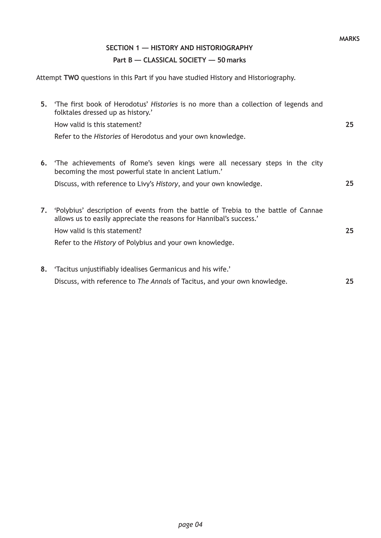## **SECTION 1 — HISTORY AND HISTORIOGRAPHY Part B — CLASSICAL SOCIETY — 50 marks**

Attempt **TWO** questions in this Part if you have studied History and Historiography.

|    | 5. The first book of Herodotus' Histories is no more than a collection of legends and<br>folktales dressed up as history.'<br>How valid is this statement?<br>Refer to the <i>Histories</i> of Herodotus and your own knowledge.                      | 25 |
|----|-------------------------------------------------------------------------------------------------------------------------------------------------------------------------------------------------------------------------------------------------------|----|
|    | <b>6.</b> The achievements of Rome's seven kings were all necessary steps in the city<br>becoming the most powerful state in ancient Latium.'<br>Discuss, with reference to Livy's History, and your own knowledge.                                   | 25 |
| 7. | 'Polybius' description of events from the battle of Trebia to the battle of Cannae<br>allows us to easily appreciate the reasons for Hannibal's success.'<br>How valid is this statement?<br>Refer to the History of Polybius and your own knowledge. | 25 |
| 8. | 'Tacitus unjustifiably idealises Germanicus and his wife.'<br>Discuss, with reference to The Annals of Tacitus, and your own knowledge.                                                                                                               | 25 |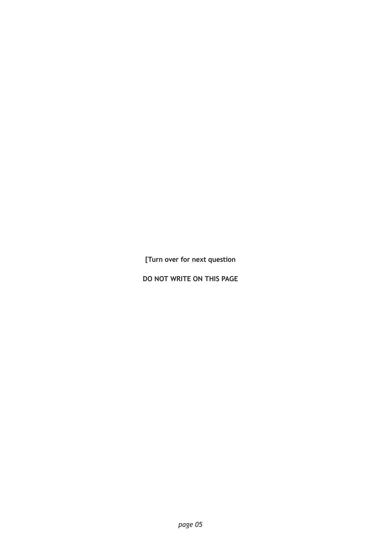**[Turn over for next question**

**DO NOT WRITE ON THIS PAGE**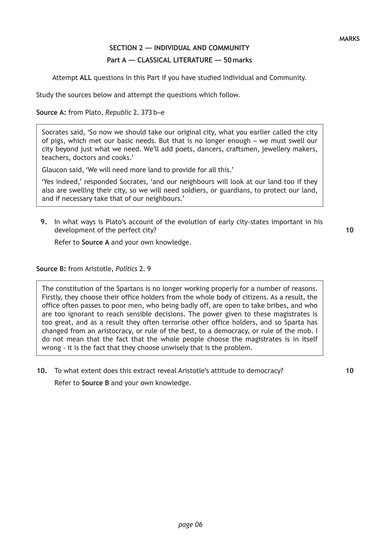## **SECTION 2 — INDIVIDUAL AND COMMUNITY Part A — CLASSICAL LITERATURE — 50 marks**

Attempt **ALL** questions in this Part if you have studied Individual and Community.

Study the sources below and attempt the questions which follow.

**Source A:** from Plato, *Republic* 2. 373 b–e

Socrates said, 'So now we should take our original city, what you earlier called the city of pigs, which met our basic needs. But that is no longer enough – we must swell our city beyond just what we need. We'll add poets, dancers, craftsmen, jewellery makers, teachers, doctors and cooks.'

Glaucon said, 'We will need more land to provide for all this.'

'Yes indeed,' responded Socrates, 'and our neighbours will look at our land too if they also are swelling their city, so we will need soldiers, or guardians, to protect our land, and if necessary take that of our neighbours.'

**9.** In what ways is Plato's account of the evolution of early city-states important in his development of the perfect city?

Refer to **Source A** and your own knowledge.

**Source B:** from Aristotle, *Politics* 2. 9

The constitution of the Spartans is no longer working properly for a number of reasons. Firstly, they choose their office holders from the whole body of citizens. As a result, the office often passes to poor men, who being badly off, are open to take bribes, and who are too ignorant to reach sensible decisions. The power given to these magistrates is too great, and as a result they often terrorise other office holders, and so Sparta has changed from an aristocracy, or rule of the best, to a democracy, or rule of the mob. I do not mean that the fact that the whole people choose the magistrates is in itself wrong - it is the fact that they choose unwisely that is the problem.

**10.** To what extent does this extract reveal Aristotle's attitude to democracy? Refer to **Source B** and your own knowledge.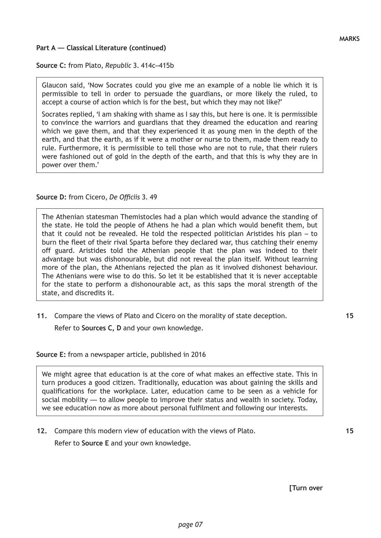#### **Source C:** from Plato, *Republic* 3. 414c–415b

Glaucon said, 'Now Socrates could you give me an example of a noble lie which it is permissible to tell in order to persuade the guardians, or more likely the ruled, to accept a course of action which is for the best, but which they may not like?'

Socrates replied, 'I am shaking with shame as I say this, but here is one. It is permissible to convince the warriors and guardians that they dreamed the education and rearing which we gave them, and that they experienced it as young men in the depth of the earth, and that the earth, as if it were a mother or nurse to them, made them ready to rule. Furthermore, it is permissible to tell those who are not to rule, that their rulers were fashioned out of gold in the depth of the earth, and that this is why they are in power over them.'

#### **Source D:** from Cicero, *De Officiis* 3. 49

The Athenian statesman Themistocles had a plan which would advance the standing of the state. He told the people of Athens he had a plan which would benefit them, but that it could not be revealed. He told the respected politician Aristides his plan – to burn the fleet of their rival Sparta before they declared war, thus catching their enemy off guard. Aristides told the Athenian people that the plan was indeed to their advantage but was dishonourable, but did not reveal the plan itself. Without learning more of the plan, the Athenians rejected the plan as it involved dishonest behaviour. The Athenians were wise to do this. So let it be established that it is never acceptable for the state to perform a dishonourable act, as this saps the moral strength of the state, and discredits it.

**11.** Compare the views of Plato and Cicero on the morality of state deception.

Refer to **Sources C, D** and your own knowledge.

**Source E:** from a newspaper article, published in 2016

We might agree that education is at the core of what makes an effective state. This in turn produces a good citizen. Traditionally, education was about gaining the skills and qualifications for the workplace. Later, education came to be seen as a vehicle for social mobility — to allow people to improve their status and wealth in society. Today, we see education now as more about personal fulfilment and following our interests.

**12.** Compare this modern view of education with the views of Plato.

Refer to **Source E** and your own knowledge.

**15**

**15**

**[Turn over**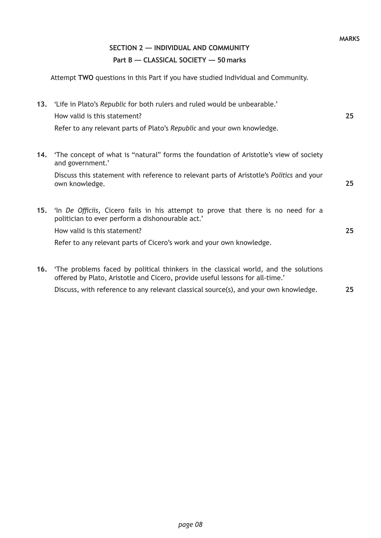## **SECTION 2 — INDIVIDUAL AND COMMUNITY Part B — CLASSICAL SOCIETY — 50 marks**

Attempt **TWO** questions in this Part if you have studied Individual and Community.

|     | 13. 'Life in Plato's Republic for both rulers and ruled would be unbearable.'<br>How valid is this statement?<br>Refer to any relevant parts of Plato's Republic and your own knowledge. | 25 |
|-----|------------------------------------------------------------------------------------------------------------------------------------------------------------------------------------------|----|
| 14. | The concept of what is "natural" forms the foundation of Aristotle's view of society<br>and government.'                                                                                 |    |
|     | Discuss this statement with reference to relevant parts of Aristotle's Politics and your<br>own knowledge.                                                                               | 25 |
| 15. | 'In De Officiis, Cicero fails in his attempt to prove that there is no need for a<br>politician to ever perform a dishonourable act.'                                                    |    |
|     | How valid is this statement?                                                                                                                                                             | 25 |
|     | Refer to any relevant parts of Cicero's work and your own knowledge.                                                                                                                     |    |
|     | 16. The problems faced by political thinkers in the classical world, and the solutions<br>offered by Plato, Aristotle and Cicero, provide useful lessons for all-time.'                  |    |
|     | Discuss, with reference to any relevant classical source(s), and your own knowledge.                                                                                                     | 25 |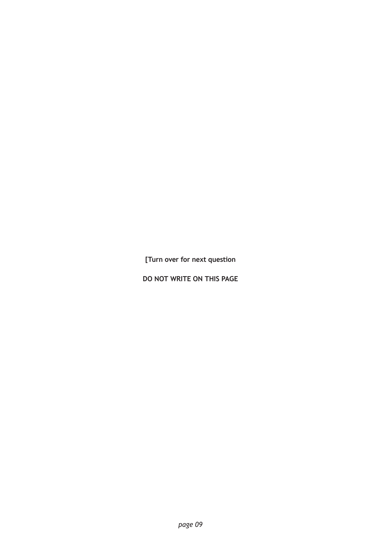**[Turn over for next question**

**DO NOT WRITE ON THIS PAGE**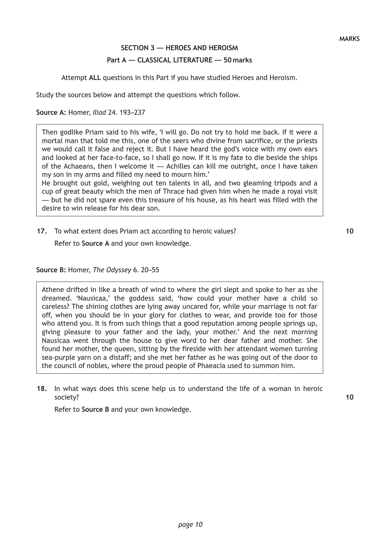## **SECTION 3 — HEROES AND HEROISM Part A — CLASSICAL LITERATURE — 50 marks**

Attempt **ALL** questions in this Part if you have studied Heroes and Heroism.

Study the sources below and attempt the questions which follow.

**Source A:** Homer, *Iliad* 24. 193–237

Then godlike Priam said to his wife, 'I will go. Do not try to hold me back. If it were a mortal man that told me this, one of the seers who divine from sacrifice, or the priests we would call it false and reject it. But I have heard the god's voice with my own ears and looked at her face-to-face, so I shall go now. If it is my fate to die beside the ships of the Achaeans, then I welcome it — Achilles can kill me outright, once I have taken my son in my arms and filled my need to mourn him.'

He brought out gold, weighing out ten talents in all, and two gleaming tripods and a cup of great beauty which the men of Thrace had given him when he made a royal visit — but he did not spare even this treasure of his house, as his heart was filled with the desire to win release for his dear son.

**17.** To what extent does Priam act according to heroic values?

Refer to **Source A** and your own knowledge.

**Source B:** Homer, *The Odyssey* 6. 20–55

Athene drifted in like a breath of wind to where the girl slept and spoke to her as she dreamed. 'Nausicaa,' the goddess said, 'how could your mother have a child so careless? The shining clothes are lying away uncared for, while your marriage is not far off, when you should be in your glory for clothes to wear, and provide too for those who attend you. It is from such things that a good reputation among people springs up, giving pleasure to your father and the lady, your mother.' And the next morning Nausicaa went through the house to give word to her dear father and mother. She found her mother, the queen, sitting by the fireside with her attendant women turning sea-purple yarn on a distaff; and she met her father as he was going out of the door to the council of nobles, where the proud people of Phaeacia used to summon him.

**18.** In what ways does this scene help us to understand the life of a woman in heroic society?

Refer to **Source B** and your own knowledge.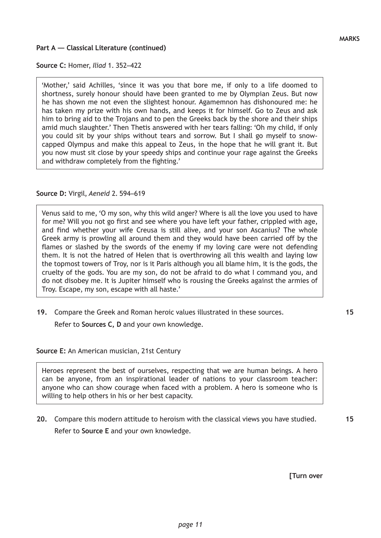**Source C:** Homer, *Iliad* 1. 352–422

'Mother,' said Achilles, 'since it was you that bore me, if only to a life doomed to shortness, surely honour should have been granted to me by Olympian Zeus. But now he has shown me not even the slightest honour. Agamemnon has dishonoured me: he has taken my prize with his own hands, and keeps it for himself. Go to Zeus and ask him to bring aid to the Trojans and to pen the Greeks back by the shore and their ships amid much slaughter.' Then Thetis answered with her tears falling: 'Oh my child, if only you could sit by your ships without tears and sorrow. But I shall go myself to snowcapped Olympus and make this appeal to Zeus, in the hope that he will grant it. But you now must sit close by your speedy ships and continue your rage against the Greeks and withdraw completely from the fighting.'

#### **Source D:** Virgil, *Aeneid* 2. 594–619

Venus said to me, 'O my son, why this wild anger? Where is all the love you used to have for me? Will you not go first and see where you have left your father, crippled with age, and find whether your wife Creusa is still alive, and your son Ascanius? The whole Greek army is prowling all around them and they would have been carried off by the flames or slashed by the swords of the enemy if my loving care were not defending them. It is not the hatred of Helen that is overthrowing all this wealth and laying low the topmost towers of Troy, nor is it Paris although you all blame him, it is the gods, the cruelty of the gods. You are my son, do not be afraid to do what I command you, and do not disobey me. It is Jupiter himself who is rousing the Greeks against the armies of Troy. Escape, my son, escape with all haste.'

**19.** Compare the Greek and Roman heroic values illustrated in these sources.

Refer to **Sources C, D** and your own knowledge.

**Source E:** An American musician, 21st Century

Heroes represent the best of ourselves, respecting that we are human beings. A hero can be anyone, from an inspirational leader of nations to your classroom teacher: anyone who can show courage when faced with a problem. A hero is someone who is willing to help others in his or her best capacity.

**20.** Compare this modern attitude to heroism with the classical views you have studied. Refer to **Source E** and your own knowledge.

**15**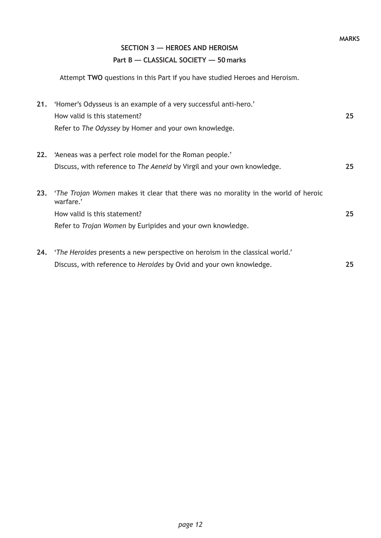# **SECTION 3 — HEROES AND HEROISM**

## **Part B — CLASSICAL SOCIETY — 50 marks**

Attempt **TWO** questions in this Part if you have studied Heroes and Heroism.

| 21. | 'Homer's Odysseus is an example of a very successful anti-hero.'                                       |    |
|-----|--------------------------------------------------------------------------------------------------------|----|
|     | How valid is this statement?                                                                           | 25 |
|     | Refer to The Odyssey by Homer and your own knowledge.                                                  |    |
| 22. | 'Aeneas was a perfect role model for the Roman people.'                                                |    |
|     | Discuss, with reference to The Aeneid by Virgil and your own knowledge.                                | 25 |
| 23. | <i>'The Trojan Women</i> makes it clear that there was no morality in the world of heroic<br>warfare.' |    |
|     | How valid is this statement?                                                                           | 25 |
|     | Refer to Trojan Women by Euripides and your own knowledge.                                             |    |
| 24. | 'The Heroides presents a new perspective on heroism in the classical world.'                           |    |
|     | Discuss, with reference to Heroides by Ovid and your own knowledge.                                    | 25 |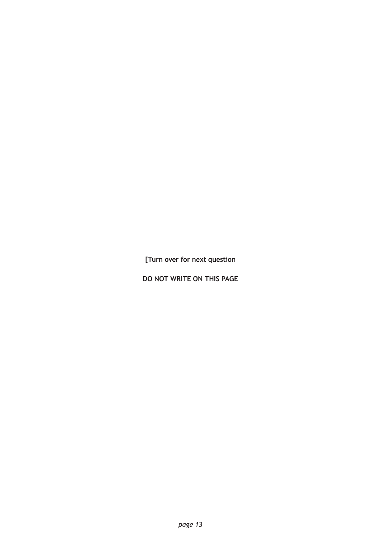**[Turn over for next question**

**DO NOT WRITE ON THIS PAGE**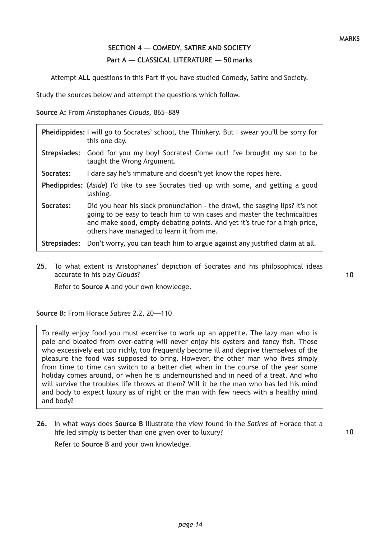## **SECTION 4 — COMEDY, SATIRE AND SOCIETY Part A — CLASSICAL LITERATURE — 50 marks**

Attempt **ALL** questions in this Part if you have studied Comedy, Satire and Society.

Study the sources below and attempt the questions which follow.

**Source A:** From Aristophanes *Clouds,* 865–889

|              | Pheidippides: I will go to Socrates' school, the Thinkery. But I swear you'll be sorry for<br>this one day.                                                                                                                                                                       |
|--------------|-----------------------------------------------------------------------------------------------------------------------------------------------------------------------------------------------------------------------------------------------------------------------------------|
|              | Strepsiades: Good for you my boy! Socrates! Come out! I've brought my son to be<br>taught the Wrong Argument.                                                                                                                                                                     |
| Socrates:    | I dare say he's immature and doesn't yet know the ropes here.                                                                                                                                                                                                                     |
|              | Phedippides: (Aside) I'd like to see Socrates tied up with some, and getting a good<br>lashing.                                                                                                                                                                                   |
| Socrates:    | Did you hear his slack pronunciation - the drawl, the sagging lips? It's not<br>going to be easy to teach him to win cases and master the technicalities<br>and make good, empty debating points. And yet it's true for a high price,<br>others have managed to learn it from me. |
| Strepsiades: | Don't worry, you can teach him to argue against any justified claim at all.                                                                                                                                                                                                       |

**25.** To what extent is Aristophanes' depiction of Socrates and his philosophical ideas accurate in his play *Clouds*?

**10**

Refer to **Source A** and your own knowledge.

**Source B:** From Horace *Satires* 2.2, 20—110

To really enjoy food you must exercise to work up an appetite. The lazy man who is pale and bloated from over-eating will never enjoy his oysters and fancy fish. Those who excessively eat too richly, too frequently become ill and deprive themselves of the pleasure the food was supposed to bring. However, the other man who lives simply from time to time can switch to a better diet when in the course of the year some holiday comes around, or when he is undernourished and in need of a treat. And who will survive the troubles life throws at them? Will it be the man who has led his mind and body to expect luxury as of right or the man with few needs with a healthy mind and body?

**26.** In what ways does **Source B** illustrate the view found in the *Satires* of Horace that a life led simply is better than one given over to luxury?

Refer to **Source B** and your own knowledge.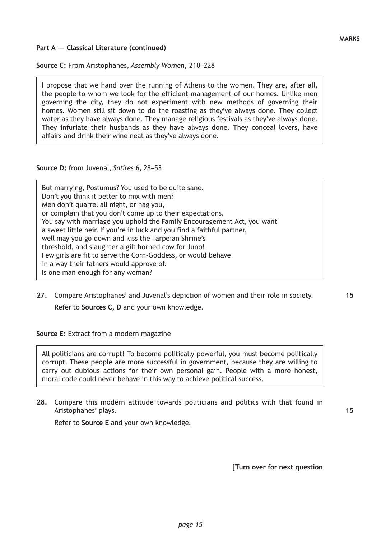#### **Source C:** From Aristophanes, *Assembly Women,* 210–228

I propose that we hand over the running of Athens to the women. They are, after all, the people to whom we look for the efficient management of our homes. Unlike men governing the city, they do not experiment with new methods of governing their homes. Women still sit down to do the roasting as they've always done. They collect water as they have always done. They manage religious festivals as they've always done. They infuriate their husbands as they have always done. They conceal lovers, have affairs and drink their wine neat as they've always done.

#### **Source D:** from Juvenal, *Satires* 6, 28–53

But marrying, Postumus? You used to be quite sane. Don't you think it better to mix with men? Men don't quarrel all night, or nag you, or complain that you don't come up to their expectations. You say with marriage you uphold the Family Encouragement Act, you want a sweet little heir. If you're in luck and you find a faithful partner, well may you go down and kiss the Tarpeian Shrine's threshold, and slaughter a gilt horned cow for Juno! Few girls are fit to serve the Corn-Goddess, or would behave in a way their fathers would approve of. Is one man enough for any woman?

**27.** Compare Aristophanes' and Juvenal's depiction of women and their role in society. Refer to **Sources C, D** and your own knowledge.

**Source E:** Extract from a modern magazine

All politicians are corrupt! To become politically powerful, you must become politically corrupt. These people are more successful in government, because they are willing to carry out dubious actions for their own personal gain. People with a more honest, moral code could never behave in this way to achieve political success.

**28.** Compare this modern attitude towards politicians and politics with that found in Aristophanes' plays.

Refer to **Source E** and your own knowledge.

**[Turn over for next question**

**15**